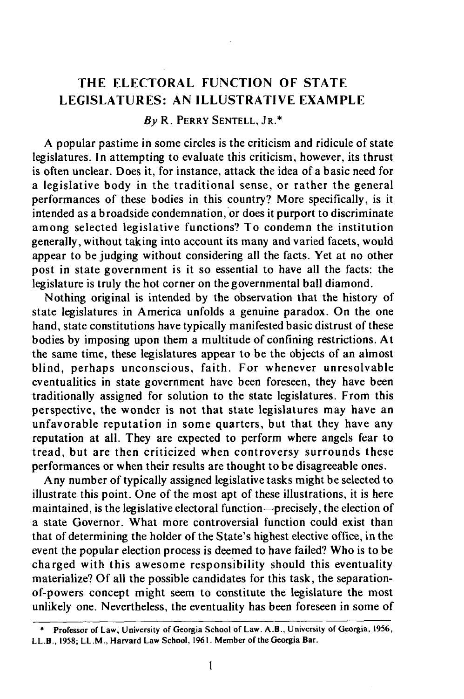# **THE ELECTORAL FUNCTION OF STATE LEGISLATURES: AN ILLUSTRATIVE EXAMPLE**

## *By* **R. PERRY SENTELL, JR.\***

**A** popular pastime in some circles is the criticism and ridicule of state legislatures. In attempting to evaluate this criticism, however, its thrust is often unclear. Does it, for instance, attack the idea of a basic need for a legislative body in the traditional sense, or rather the general performances of these bodies in this country? More specifically, is it intended as a broadside condemnation, or does it purport to discriminate among selected legislative functions? To condemn the institution generally, without taking into account its many and varied facets, would appear to be judging without considering all the facts. Yet at no other post in state government is it so essential to have all the facts: the legislature is truly the hot corner on the governmental ball diamond.

Nothing original is intended by the observation that the history of state legislatures in America unfolds a genuine paradox. On the one hand, state constitutions have typically manifested basic distrust of these bodies **by** imposing upon them a multitude of confining restrictions. At the same time, these legislatures appear to be the objects of an almost blind, perhaps unconscious, faith. For whenever unresolvable eventualities in state government have been foreseen, they have been traditionally assigned for solution to the state legislatures. From this perspective, the wonder is not that state legislatures may have an unfavorable reputation in some quarters, but that they have any reputation at all. They are expected to perform where angels fear to tread, but are then criticized when controversy surrounds these performances or when their results are thought to be disagreeable ones.

Any number of typically assigned legislative tasks might be selected to illustrate this point. One of the most apt of these illustrations, it is here maintained, is the legislative electoral function-precisely, the election of a state Governor. What more controversial function could exist than that of determining the holder of the State's highest elective office, in the event the popular election process is deemed to have failed? Who is to be charged with this awesome responsibility should this eventuality materialize? **Of** all the possible candidates for this task, the separationof-powers concept might seem to constitute the legislature the most unlikely one. Nevertheless, the eventuality has been foreseen in some of

**<sup>\*</sup> Professor of** Law, **University of Georgia School of Law. A.B.,** University **of** Georgia, **1956, LL.B., 1958; LL.M., Harvard Law School, 1961. Member of the** Georgia **Bar.**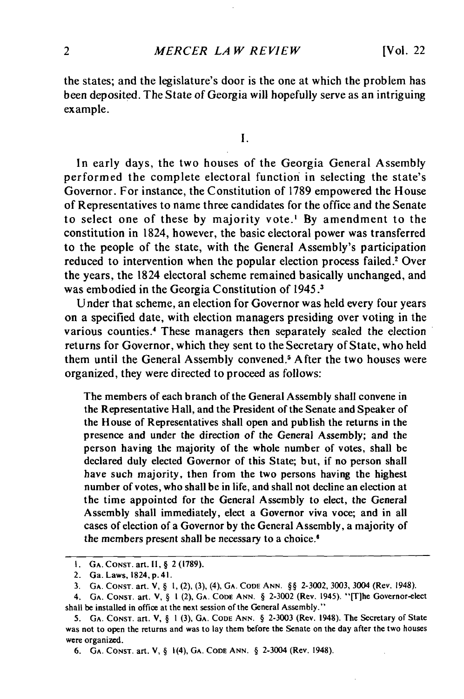the states; and the legislature's door is the one at which the problem has been deposited. The State of Georgia will hopefully serve as an intriguing example.

I.

In early days, the two houses of the Georgia General Assembly performed the complete electoral function in selecting the state's Governor. For instance, the Constitution of 1789 empowered the House of Representatives to name three candidates for the office and the Senate to select one of these by majority vote.' By amendment to the constitution in 1824, however, the basic electoral power was transferred to the people of the state, with the General Assembly's participation reduced to intervention when the popular election process failed.<sup>2</sup> Over the years, the 1824 electoral scheme remained basically unchanged, and was embodied in the Georgia Constitution of 1945.3

Under that scheme, an election for Governor was held every four years on a specified date, with election managers presiding over voting in the various counties.<sup>4</sup> These managers then separately sealed the election returns for Governor, which they sent to the Secretary of State, who held them until the General Assembly convened.<sup>5</sup> After the two houses were organized, they were directed to proceed as follows:

The members of each branch of the General Assembly shall convene in the Representative Hall, and the President of the Senate and Speaker of the House of Representatives shall open and publish the returns in the presence and under the direction of the General Assembly; and the person having the majority of the whole number of votes, shall be declared duly elected Governor of this State; but, if no person shall have such majority, then from the two persons having the highest number of votes, who shall be in life, and shall not decline an election at the time appointed for the General Assembly to elect, the General Assembly shall immediately, elect a Governor viva voce; and in all cases of election of a Governor by the General Assembly, a majority of the members present shall be necessary to a choice.

**I. GA. CONsT.** art. **I1, §** 2 **(1789).**

<sup>2.</sup> Ga. Laws, 1824, p.41.

**<sup>3.</sup> GA.** CONST. art. V, § **1,** (2), (3), (4), **GA. CODE ANN.** §§ 2-3002, 3003, 3004 (Rev. 1948).

<sup>4.</sup> **GA.** CONST. art. V, § **I** (2), **GA. CODE** ANN. § 2-3002 (Rev. 1945). "[Tlhe Governor-elect shall be installed in office at the next session of the General Assembly."

<sup>5.</sup> **GA.** CONST. art. V, § I (3), **GA. CODE** ANN. § 2-3003 (Rev. 1948). The Secretary of State was not to open the returns and was to lay them before the Senate on the day after the two houses were organized.

<sup>6.</sup> **GA.** CONST. art. V, § 1(4), GA. CODE ANN. § 2-3004 (Rev. 1948).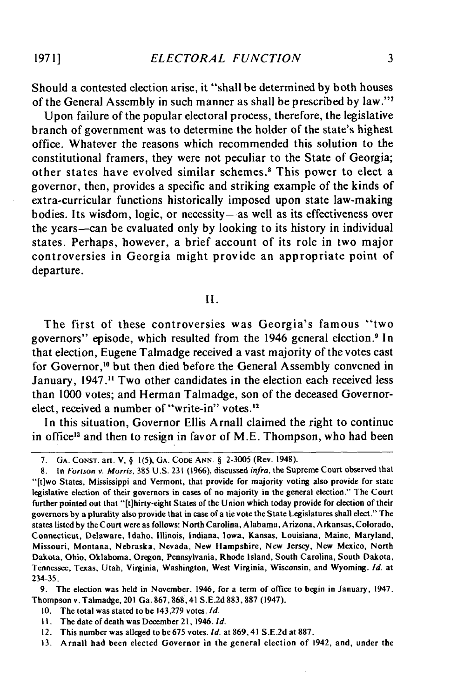Should a contested election arise, it "shall be determined by both houses of the General Assembly in such manner as shall be prescribed by law."<sup>7</sup>

**1971]**

Upon failure of the popular electoral process, therefore, the legislative branch of government was to determine the holder of the state's highest office. Whatever the reasons which recommended this solution to the constitutional framers, they were not peculiar to the State of Georgia; other states have evolved similar schemes.8 This power to elect a governor, then, provides a specific and striking example of the kinds of extra-curricular functions historically imposed upon state law-making bodies. Its wisdom, logic, or necessity-as well as its effectiveness over the years-can be evaluated only by looking to its history in individual states. Perhaps, however, a brief account of its role in two major controversies in Georgia might provide an appropriate point of departure.

II.

The first of these controversies was Georgia's famous "two governors" episode, which resulted from the 1946 general election.<sup>9</sup> In that election, Eugene Talmadge received a vast majority of the votes cast for Governor,<sup>10</sup> but then died before the General Assembly convened in January, 1947." Two other candidates in the election each received less than 1000 votes; and Herman Talmadge, son of the deceased Governorelect, received a number of "write-in" votes.'2

In this situation, Governor Ellis Arnall claimed the right to continue in office<sup>13</sup> and then to resign in favor of M.E. Thompson, who had been

9. The election was held in November, 1946, for a term of office to begin in January, 1947. Thompson v. Talmadge, 201 Ga. 867,868,41 S.E.2d 883, 887 (1947).

- 10. The total was stated to be 143,279 votes. **Id.**
- II. The date of death was December 21, 1946. **Id.**
- 12. This number was alleged to be675 votes. **Id.** at 869,41 **S.E.2d** at 887.
- 13. Arnall had been elected Governor in the general election of 1942, and, under the

<sup>7.</sup> **GA. CONST.** art. V, § **1(5), GA. CODE ANN.** § **2-3005** (Rev. 1948).

<sup>8.</sup> In Forison *v.* Morris, 385 U.S. 231 (1966), discussed infra, the Supreme Court observed that "'[tiwo States, Mississippi and Vermont, that provide for majority voting also provide for state legislative election of their governors in cases of no majority in the general election." The Court further pointed out that "[t]hirty-eight States of the Union which today provide for election of their governors by a plurality also provide that in case of a tie vote the State Legislatures shall elect." The states listed by the Court were as follows: North Carolina, Alabama, Arizona, Arkansas, Colorado, Connecticut, Delaware, Idaho, Illinois, Indiana, Iowa, Kansas, Louisiana, Maine, Maryland, Missouri, Montana, Nebraska, Nevada, New Hampshire, New Jersey, New Mexico, North Dakota, Ohio, Oklahoma, Oregon, Pennsylvania, Rhode Island, South Carolina, South Dakota, Tennessee, Texas, Utah, Virginia, Washington, West Virginia, Wisconsin, and Wyoming. **Id.** at 234-35.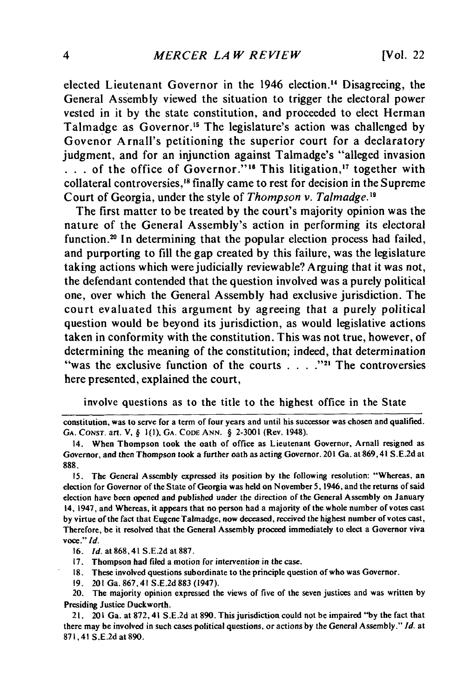elected Lieutenant Governor in the 1946 election." Disagreeing, the General Assembly viewed the situation to trigger the electoral power vested in it **by** the state constitution, and proceeded to elect Herman Talmadge as Governor.<sup>15</sup> The legislature's action was challenged by Govenor Arnall's petitioning the superior court for a declaratory judgment, and for an injunction against Talmadge's "alleged invasion **• . .**of the office of Governor."' 6 This litigation," together with collateral controversies,<sup>18</sup> finally came to rest for decision in the Supreme Court of Georgia, under the style of *Thompson v. Talmadge."1*

The first matter to be treated **by** the court's majority opinion was the nature of the General Assembly's action in performing its electoral function.<sup>20</sup> In determining that the popular election process had failed, and purporting to **fill** the gap created **by** this failure, was the legislature taking actions which were judicially reviewable? Arguing that it was not, the defendant contended that the question involved was a purely political one, over which the General Assembly had exclusive jurisdiction. The court evaluated this argument **by** agreeing that a purely political question would be beyond its jurisdiction, as would legislative actions taken in conformity with the constitution. This was not true, however, of determining the meaning of the constitution; indeed, that determination "was the exclusive function of the courts . . . .<sup>221</sup> The controversies here presented, explained the court,

involve questions as to the title to the highest office in the State

**15.** The General Assembly expressed its position **by** the following resolution: "Whereas, an election for Governor of the State of Georgia was held on November **5,** 1946, and the returns of said election have been opened and published under the direction of the General Assembly on January 14, 1947, and Whereas, it appears that no person had a majority of the whole number of votes cast **by** virtue of the fact that Eugene Talmadge, now deceased, received the highest number of votes cast, Therefore, be it resolved that the General Assembly proceed immediately to elect a Governor viva voce." *Id.*

**17.** Thompson had filed a motion for intervention in the case.

**18.** These involved questions subordinate to the principle question of who was Governor.

**19.** 201 Ga. **867,41 S.E.2d 883** (1947).

20. The majority opinion expressed the views of five of the seven justices and was written **by** Presiding Justice Duckworth.

21. 201 Ga. at **872,** 41 **S.E.2d** at **890.** This jurisdiction could not be impaired **"by** the fact that there may be involved in such cases political questions, or actions **by** the General Assembly." *Id.* at **87 1,** 41 **S.E.2d** at **890.**

constitution, was to serve for a term of four years and until his successor was chosen and qualified. **GA. CONST.** art. V, **§ I(I), GA. CODE ANN. § 2-3001** (Rev. 1948).

<sup>14.</sup> When Thompson took the oath of office as Lieutenant Governor, Arnall resigned as Governor, and then Thompson took a further oath as acting Governor. 201 Ga. at **869,41 S.E.2d** at **888.**

**<sup>16.</sup> Id.** at **868,41 S.E.2d** at **887.**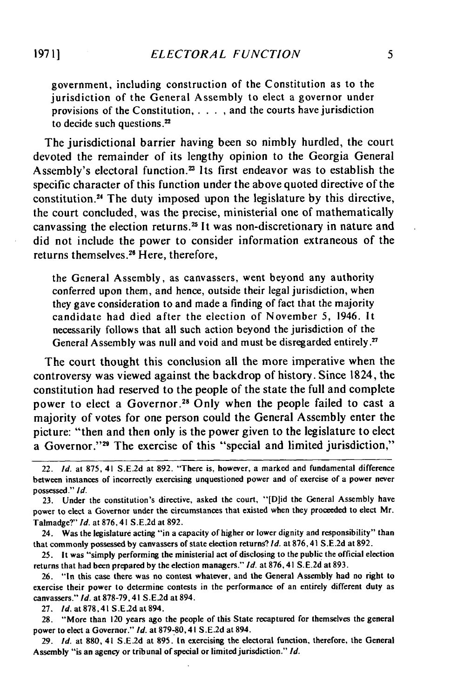government, including construction of the Constitution as to the jurisdiction of the General Assembly to elect a governor under provisions of the Constitution,  $\dots$ , and the courts have jurisdiction to decide such questions.<sup>22</sup>

The jurisdictional barrier having been so nimbly hurdled, the court devoted the remainder of its lengthy opinion to the Georgia General Assembly's electoral function.<sup>23</sup> Its first endeavor was to establish the specific character of this function under the above quoted directive of the constitution.<sup>24</sup> The duty imposed upon the legislature by this directive, the court concluded, was the precise, ministerial one of mathematically canvassing the election returns.<sup>25</sup> It was non-discretionary in nature and did not include the power to consider information extraneous of the returns themselves. 26 Here, therefore,

the General Assembly, as canvassers, went beyond any authority conferred upon them, and hence, outside their legal jurisdiction, when they gave consideration to and made a finding of fact that the majority candidate had died after the election of November 5, 1946. It necessarily follows that all such action beyond the jurisdiction of the General Assembly was null and void and must be disregarded entirely.<sup>27</sup>

The court thought this conclusion all the more imperative when the controversy was viewed against the backdrop of history. Since 1824, the constitution had reserved to the people of the state the full and complete power to elect a Governor.<sup>28</sup> Only when the people failed to cast a majority of votes for one person could the General Assembly enter the picture: "then and then only is the power given to the legislature to elect a Governor."<sup>29</sup> The exercise of this "special and limited jurisdiction,"

27. Id.at878,41 S.E.2d at 894.

**29.** *Id.* at **880,** 41 S.E.2d at **895.** In exercising the electoral function, therefore, the General Assembly "is an agency or tribunal of special or limited jurisdiction." *Id.*

<sup>22.</sup> *Id.* at **875,** 41 S.E.2d at **892.** "There is, however, a marked and fundamental difference between instances of incorrectly exercising unquestioned power and of exercise of a power never possessed." *Id.*

<sup>23.</sup> Under the constitution's directive, asked the court, "[Did the General Assembly have power to elect a Governor under the circumstances that existed when they proceeded to elect Mr. Talmadge?" *Id.* at **876,** 41 S.E.2d at 892.

<sup>24.</sup> Was the legislature acting "in a capacity of higher or lower dignity and responsibility" than that commonly possessed **by** canvassers of state election returns? *Id.* at **876,** 41 S.E.2d at **892.**

**<sup>25.</sup>** It was "simply performing the ministerial act of disclosing to the public the official election returns that had been prepared **by** the election managers." *Id.* at **876,** 41 S.E.2d at 893.

**<sup>26.</sup>** "In this case there was no contest whatever, and the General Assembly had no right to exercise their power to determine contests in the performance of an entirely different duty as canvassers." *Id.* at **878-79,41** S.E.2d at 894.

**<sup>28.</sup>** "More than 120 years ago the people of this State recaptured for themselves the general power to elect a Governor." *Id.* at **879-80,41 S.E.2d** at 894.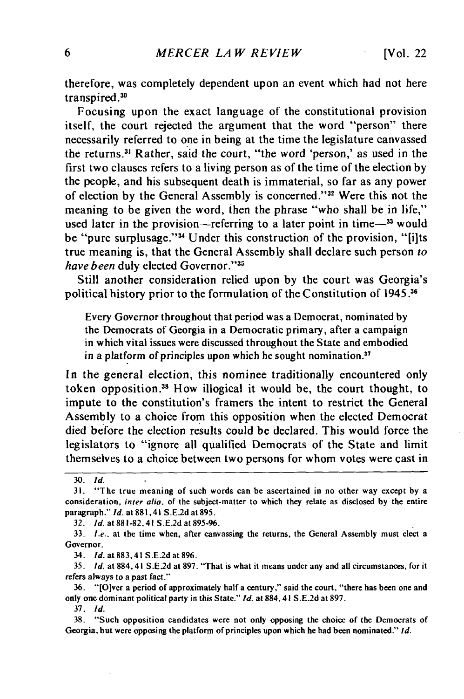therefore, was completely dependent upon an event which had not here transpired **.30**

Focusing upon the exact language of the constitutional provision itself, the court rejected the argument that the word "person" there necessarily referred to one in being at the time the legislature canvassed the returns.<sup>31</sup> Rather, said the court, "the word 'person,' as used in the first two clauses refers to a living person as of the time of the election by the people, and his subsequent death is immaterial, so far as any power of election by the General Assembly is concerned."<sup>32</sup> Were this not the meaning to be given the word, then the phrase "who shall be in life," used later in the provision—referring to a later point in time $-$ <sup>33</sup> would be "pure surplusage."<sup>34</sup> Under this construction of the provision, "[i]ts true meaning is, that the General Assembly shall declare such person to have been duly elected Governor."<sup>35</sup>

Still another consideration relied upon by the court was Georgia's political history prior to the formulation of the Constitution of 1945.36

Every Governor throughout that period was a Democrat, nominated by the Democrats of Georgia in a Democratic primary, after a campaign in which vital issues were discussed throughout the State and embodied in a platform of principles upon which he sought nomination. $37$ 

In the general election, this nominee traditionally encountered only token opposition.<sup>38</sup> How illogical it would be, the court thought, to impute to the constitution's framers the intent to restrict the General Assembly to a choice from this opposition when the elected Democrat died before the election results could be declared. This would force the legislators to "ignore all qualified Democrats of the State and limit themselves to a choice between two persons for whom votes were cast in

32. *Id.* at 881-82, 41 S.E.2d at 895-96.

34. *Id.* at 883, 41 S.E.2d at 896.

35. *Id.* at 884,41 S.E.2d at 897. "That is what it means under any and all circumstances, for it refers always to a past fact."

36. "[Olver a period of approximately half a century," said the court, "there has been one and only one dominant political party in this State." *Id.* at 884,41 S.E.2d at 897.

37. *Id.*

<sup>30.</sup> *Id.*

<sup>31. &</sup>quot;The true meaning of such words can be ascertained in no other way except by a consideration, inter alia. of the subject-matter to which they relate as disclosed by the entire paragraph." *Id.* at 881,41 S.E.2d at 895.

<sup>33.</sup> I.e., at the time when, after canvassing the returns, the General Assembly must elect a Governor.

<sup>38. &</sup>quot;Such opposition candidates were not only opposing the choice of the Democrats of Georgia, but were opposing the platform of principles upon which he had been nominated." *Id.*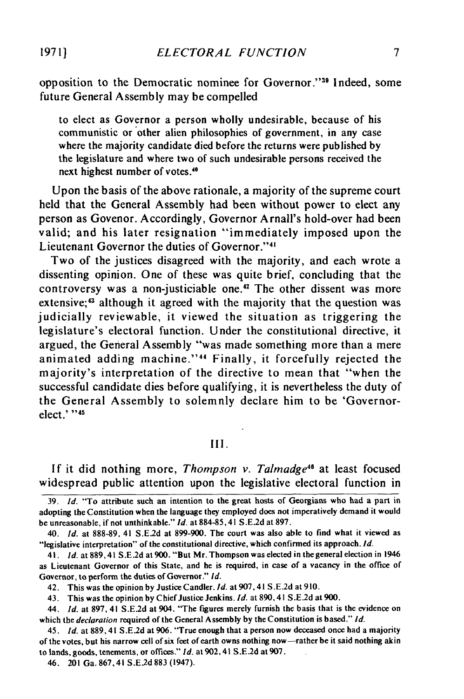opposition to the Democratic nominee for Governor."39 Indeed, some future General Assembly may be compelled

to elect as Governor a person wholly undesirable, because of his communistic or other alien philosophies of government, in any case where the majority candidate died before the returns were published **by** the legislature and where two of such undesirable persons received the next highest number of votes.<sup>40</sup>

Upon the basis of the above rationale, a majority of the supreme court held that the General Assembly had been without power to elect any person as Govenor. Accordingly, Governor Arnall's hold-over had been valid; and his later resignation "immediately imposed upon the Lieutenant Governor the duties of Governor."<sup>41</sup>

Two of the justices disagreed with the majority, and each wrote a dissenting opinion. One of these was quite brief, concluding that the controversy was a non-justiciable one.<sup>42</sup> The other dissent was more extensive;<sup>43</sup> although it agreed with the majority that the question was judicially reviewable, it viewed the situation as triggering the legislature's electoral function. Under the constitutional directive, it argued, the General Assembly "was made something more than a mere animated adding machine."<sup>44</sup> Finally, it forcefully rejected the majority's interpretation of the directive to mean that "when the successful candidate dies before qualifying, it is nevertheless the duty of the General Assembly to solemnly declare him to be 'Governorelect.' **-'i**

## **III.**

**If** it did nothing more, *Thompson v. Talmadge"'* at least focused widespread public attention upon the legislative electoral function in

**39.** Id. "To attribute such an intention to the great hosts of Georgians who had a part in adopting the Constitution when the language they employed does not imperatively demand it would be unreasonable, if not unthinkable." **Id.** at **884-85,41 S.E.2d** at **897.**

40. **id.** at **888-89,** 41 **S.E.2d** at **899-900.** The court was also able to find what it viewed as "legislative interpretation" of the constitutional directive, which confirmed its approach. **Id.**

41. *Id.* at **889,41 S.E.2d** at **900.** "But Mr. Thompson was elected in the general election in 1946 as Lieutenant Governor of this State, and he is required, in case of a vacancy in the office of Governor, to perform the duties of Governor." *Id.*

42. This was the opinion **by** Justice Candler. **Id.** at 907,41 **S.E.2d** at **910.**

43. This was the opinion **by** Chief Justice Jenkins. **Id.** at **890,** 41 **S.E.2d** at **900.**

44. **Id.** at **897,** 41 **S.E.2d** at 904. "The figures merely furnish the basis that is the evidence on which the declaration required of the General Assembly **by** the Constitution is based." **Id.**

45. *Id.* at **889,41 S.E.2d** at **906.** "True enough that a person now deceased once had a majority of the votes, but his narrow cell of six feet of earth owns nothing now-rather be it said nothing akin to lands, goods, tenements, or **offices." Id.** at 902,41 **S.E.2d** at **907.**

**19711**

<sup>46. 201</sup> Ga. **867,41 S.E.2d883** (1947).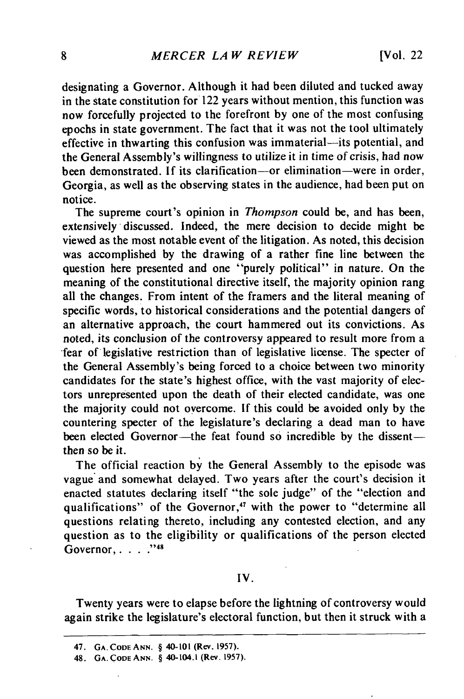designating a Governor. Although it had been diluted and tucked away in the state constitution for 122 years without mention, this function was now forcefully projected to the forefront by one of the most confusing epochs in state government. The fact that it was not the tool ultimately effective in thwarting this confusion was immaterial-its potential, and the General Assembly's willingness to utilize it in time of crisis, had now been demonstrated. If its clarification-or elimination-were in order, Georgia, as well as the observing states in the audience, had been put on notice.

The supreme court's opinion in *Thompson* could be, and has been, extensively discussed. Indeed, the mere decision to decide might be viewed as the most notable event of the litigation. As noted, this decision was accomplished by the drawing of a rather fine line between the question here presented and one "purely political" in nature. On the meaning of the constitutional directive itself, the majority opinion rang all the changes. From intent of the framers and the literal meaning of specific words, to historical considerations and the potential dangers of an alternative approach, the court hammered out its convictions. As noted, its conclusion of the controversy appeared to result more from a -fear of legislative restriction than of legislative license. The specter of the General Assembly's being forced to a choice between two minority candidates for the state's highest office, with the vast majority of electors unrepresented upon the death of their elected candidate, was one the majority could not oyercome. If this could be avoided only by the countering specter of the legislature's declaring a dead man to have been elected Governor-the feat found so incredible by the dissentthen so be it.

The official reaction by the General Assembly to the episode was vague and somewhat delayed. Two years after the court's decision it enacted statutes declaring itself "the sole judge" of the "election and qualifications" of the Governor,<sup>47</sup> with the power to "determine all questions relating thereto, including any contested election, and any question as to the eligibility or qualifications of the person elected Governor, ..... 48

### IV.

Twenty years were to elapse before the lightning of controversy would again strike the legislature's electoral function, but then it struck with a

**<sup>47.</sup> GA. CODEANN. § 40-101 (Rev. 1957).**

**<sup>48.</sup> GA. CODE ANN.** § 40-104.1 **(Rev. 1957).**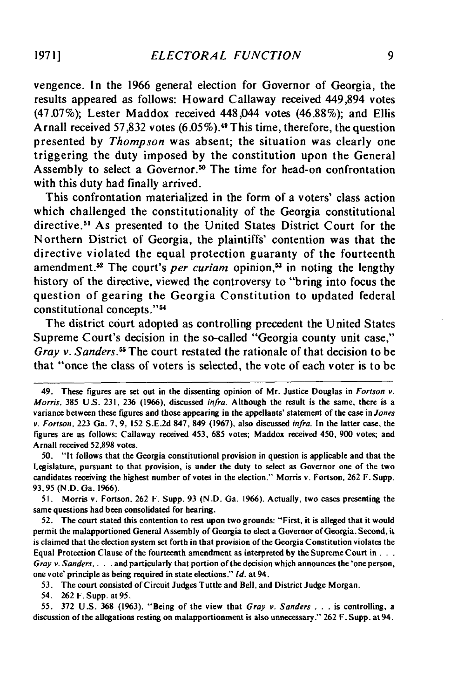vengence. In the **1966** general election for Governor of Georgia, the results appeared as follows: Howard Callaway received 449,894 votes **(47.07%);** Lester Maddox received **448,044** votes **(46.88%);** and Ellis Arnall received **57,832** votes **(6.05 %).49** This time, therefore, the question presented **by** *Thompson* was absent; the situation was clearly one triggering the duty imposed **by** the constitution upon the General Assembly to select a Governor.<sup>50</sup> The time for head-on confrontation with this duty had finally arrived.

This confrontation materialized in the form of a voters' class action which challenged the constitutionality of the Georgia constitutional directive.<sup>51</sup> As presented to the United States District Court for the Northern District of Georgia, the plaintiffs' contention was that the directive violated the equal protection guaranty of the fourteenth amendment.<sup>52</sup> The court's *per curiam* opinion,<sup>53</sup> in noting the lengthy history of the directive, viewed the controversy to "bring into focus the question of gearing the Georgia Constitution to updated federal constitutional concepts."<sup>54</sup>

The district court adopted as controlling precedent the United States Supreme Court's decision in the so-called "Georgia county unit case," *Gray v. Sanders.55* The court restated the rationale of that decision to be that "once the class of voters is selected, the vote of each voter is to be

52. The court stated this contention to rest upon two grounds: "First, it is alleged that it would permit the malapportioned General Assembly of Georgia to elect a Governor of Georgia. Second, it is claimed that the election system set forth in that provision of the Georgia Constitution violates the Equal Protection Clause of the fourteenth amendment as interpreted **by** the Supreme Court **in...** Gray  $v.$  Sanders.  $\dots$  and particularly that portion of the decision which announces the 'one person, one vote' principle as being required in state elections." Id. at 94.

53. The court consisted of Circuit Judges Tuttle and Bell, and District Judge Morgan.

54. 262 F. Supp. at 95.

55. 372 U.S. 368 (1963). "Being of the view that Gray v. Sanders . *.* . is controlling, a discussion of the allegations resting on malapportionment is also unnecessary." 262 F. Supp. at 94.

<sup>49.</sup> These figures are set out in the dissenting opinion of Mr. Justice Douglas in Fortson v. Morris, 385 US. 231, **236** (1966), discussed infra. Although the result is the same, there is a variance between these figures and those appearing in the appellants' statement of the case in Jones *v.* Fortson, 223 Ga. 7, 9, 152 S.E.2d 847, 849 (1967), also discussed infra. In the latter case, the figures are as follows: Callaway received 453, 685 votes; Maddox received 450, 900 votes; and Arnall received 52,898 votes.

<sup>50.</sup> "It follows that the Georgia constitutional provision in question is applicable and that the Legislature, pursuant to that provision, is under the duty to select as Governor one of the two candidates receiving the highest number of votes in the election." Morris v. Fortson, 262 F. Supp. 93,95 (N.D. Ga. 1966).

<sup>51.</sup> Morris v. Fortson, 262 F. Supp. 93 (N.D. Ga. 1966). Actually, two cases presenting the same questions had been consolidated for hearing.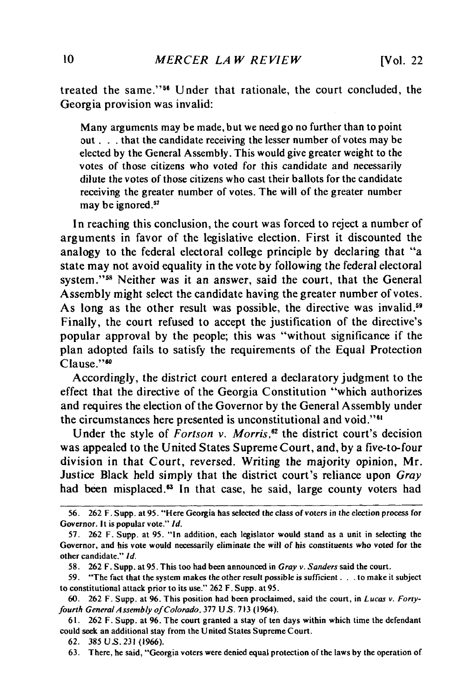treated the same."<sup>56</sup> Under that rationale, the court concluded, the Georgia provision was invalid:

Many arguments may be made, but we need go no further than to point out **. . .** that the candidate receiving the lesser number of votes may be elected by the General Assembly. This would give greater weight to the votes of those citizens who voted for this candidate and necessarily dilute the votes of those citizens who cast their ballots for the candidate receiving the greater number of votes. The will of the greater number may be ignored.<sup>57</sup>

In reaching this conclusion, the court was forced to reject a number of arguments in favor of the legislative election. First it discounted the analogy to the federal electoral college principle by declaring that "a state may not avoid equality in the vote by following the federal electoral system."<sup>58</sup> Neither was it an answer, said the court, that the General Assembly might select the candidate having the greater number of votes. As long as the other result was possible, the directive was invalid.<sup>59</sup> Finally, the court refused to accept the justification of the directive's popular approval by the people; this was "without significance if the plan adopted fails to satisfy the requirements of the Equal Protection Clause."<sup>50</sup>

Accordingly, the district court entered a declaratory judgment to the effect that the directive of the Georgia Constitution "which authorizes and requires the election of the Governor by the General Assembly under the circumstances here presented is unconstitutional and void."<sup>61</sup>

Under the style of *Fortson v. Morris*,<sup>62</sup> the district court's decision was appealed to the United States Supreme Court, and, by a five-to-four division in that Court, reversed. Writing the majority opinion, Mr. Justice Black held simply that the district court's reliance upon *Gray* had been misplaced.<sup>63</sup> In that case, he said, large county voters had

63. There, he said, "Georgia voters were denied equal protection of the laws by the operation of

<sup>56. 262</sup> F. **Supp.** at **95.** "Here **Georgia has** selected **the** class of voters in the election process for Governor. It is popular vote." *Id.*

<sup>57. 262</sup> F. Supp. at 95. "In addition, each legislator would stand as a unit in selecting the Governor, and his vote would necessarily eliminate the will of his constituents who voted for the other candidate." Id.

<sup>58. 262</sup> F. Supp. at 95. This too had been announced in *Gray v.* Sanders said the court.

<sup>59. &</sup>quot;The fact that the system makes the other result possible is sufficient **..** to make it subject to constitutional attack prior to its use." 262 F. Supp. at 95.

<sup>60. 262</sup> F. Supp. at 96. This position had been proclaimed, said the court, in Lucas v. Fortyfourth General *Assembly* of Colorado, 377 U S. 713 (1964).

**<sup>61.</sup>** 262 F. Supp. at 96. The court granted a stay of ten days within which time the defendant could seek an additional stay from the United States Supreme Court.

<sup>62. 385</sup> **U.S.** 231 (1966).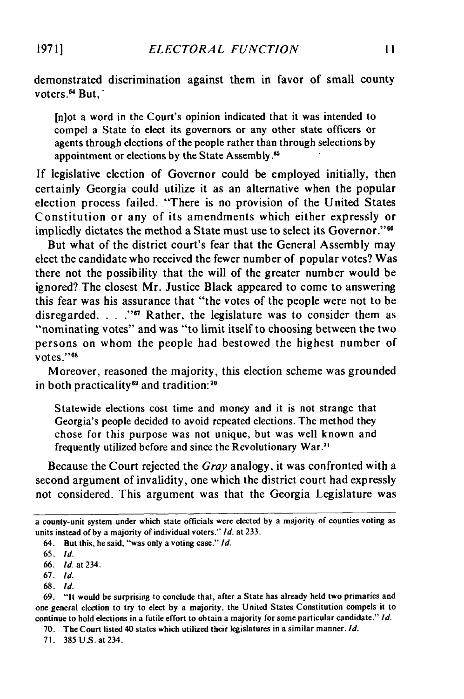demonstrated discrimination against them in favor of small county voters.<sup>64</sup> But.

[n]ot a word in the Court's opinion indicated that it was intended to compel a State to elect its governors or any other state officers or agents through elections of the people rather than through selections by appointment or elections by the State Assembly.<sup>65</sup>

If legislative election of Governor could be employed initially, then certainly Georgia could utilize it as an alternative when the popular election process failed. "There is no provision of the United States Constitution or any of its amendments which either expressly or impliedly dictates the method a State must use to select its Governor."<sup>66</sup>

But what of the district court's fear that the General Assembly may elect the candidate who received the fewer number of popular votes? Was there not the possibility that the will of the greater number would be ignored? The closest Mr. Justice Black appeared to come to answering this fear was his assurance that "the votes of the people were not to be disregarded. . . ."<sup>67</sup> Rather, the legislature was to consider them as "nominating votes" and was "to limit itself to choosing between the two persons on whom the people had bestowed the highest number of votes."68

Moreover, reasoned the majority, this election scheme was grounded in both practicality<sup>69</sup> and tradition:<sup>70</sup>

Statewide elections cost time and money and it is not strange that Georgia's people decided to avoid repeated elections. The method they chose for this purpose was not unique, but was well known and frequently utilized before and since the Revolutionary War."

Because the Court rejected the *Gray* analogy, it was confronted with a second argument of invalidity, one which the district court had expressly not considered. This argument was that the Georgia Legislature was

68. Id.

a county-unit system under which state officials were elected **by** a majority of counties voting as units instead of by a majority of individual voters." *Id.* at 233.

<sup>64.</sup> But this, he said, "was only a voting case." *Id.*

<sup>65.</sup> *Id.*

<sup>66.</sup> *Id.* at 234.

**<sup>67.</sup>** *Id.*

<sup>69. &</sup>quot;it would be surprising to conclude that, after a State has already held two primaries and one general election to try to elect by a majority, the United States Constitution compels it to continue to hold elections in a futile effort to obtain a majority for some particular candidate." *Id.*

<sup>70.</sup> The Court listed 40 states which utilized their legislatures in a similar manner. *Id.*

<sup>71. 385</sup>US.at234.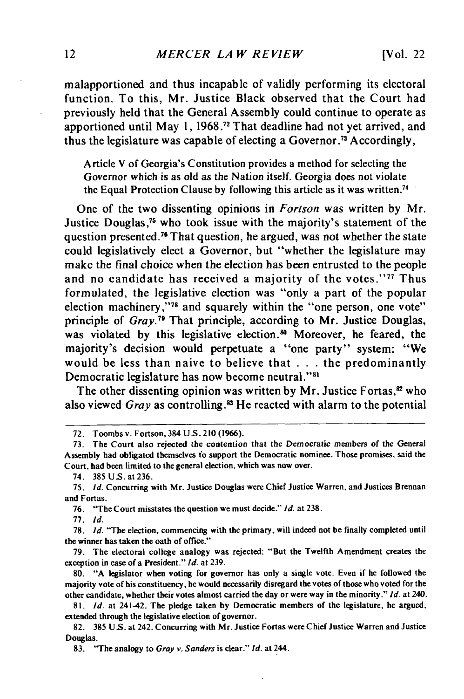malapportioned and thus incapable of validly performing its electoral function. To this, Mr. Justice Black observed that the Court had previously held that the General Assembly could continue to operate as apportioned until May **1, 1968 .72** That deadline had not yet arrived, and thus the legislature was capable of electing a Governor.<sup>73</sup> Accordingly,

Article V of Georgia's Constitution provides a method for selecting the Governor which is as old as the Nation itself. Georgia does not violate the Equal Protection Clause **by** following this article as it was written."

One of the two dissenting opinions in *Fortson* was written **by** Mr. Justice Douglas,<sup>75</sup> who took issue with the majority's statement of the question presented.76 That question, he argued, was not whether the state could legislatively elect a Governor, but "whether the legislature may make the final choice when the election has been entrusted to the people and no candidate has received a majority of the votes."<sup>77</sup> Thus formulated, the legislative election was "only a part of the popular election machinery,"<sup>78</sup> and squarely within the "one person, one vote" principle of *Gray.79* That principle, according to Mr. Justice Douglas, was violated by this legislative election.<sup>80</sup> Moreover, he feared, the majority's decision would perpetuate a "one party" system: "We would be less than naive to believe that **. . .** the predominantly Democratic legislature has now become neutral."<sup>81</sup>

The other dissenting opinion was written by Mr. Justice Fortas,<sup>82</sup> who also viewed *Gray* as controlling.<sup>83</sup> He reacted with alarm to the potential

74. 385US.at236.

**76.** "The Court misstates the question we must decide." **Id.** at **238.**

**77.** *Id.*

**78.** *Id.* "The election, commencing with the primary, will indeed not be finally completed until the winner has taken the oath of office."

79. The electoral college analogy was rejected: "But the Twelfth Amendment creates the exception in case of a President." **Id.** at 239.

80. **"A** legislator when voting for governor has only a single vote. Even if he followed the majority vote of his constituency, he would necessarily disregard the votes of those who voted for the other candidate, whether their votes almost carried the day or were way in the minority." *Id.* at 240.

81. **Id.** at 241-42. The pledge taken **by** Democratic members of the legislature, he argued, extended through the legislative election of governor.

**<sup>72.</sup>** Toombs v. Fortson, 384 **US.** 210 **(1966).**

**<sup>73.</sup> The** Court also rejected the contention that the Democratic members of the General Assembly had obligated themselves to support the Democratic nominee. Those promises, said the Court, had been limited to the general election, which was now over.

**<sup>75.</sup>** Id. Concurring with Mr. Justice Douglas were Chief Justice Warren, and Justices Brennan and Fortas.

<sup>82. 385</sup> **US.** at 242. Concurring with Mr. Justice Fortas were Chief Justice Warren and Justice Douglas.

**<sup>83.</sup>** "The analogy to Gray v. Sanders is clear." **Id.** at 244.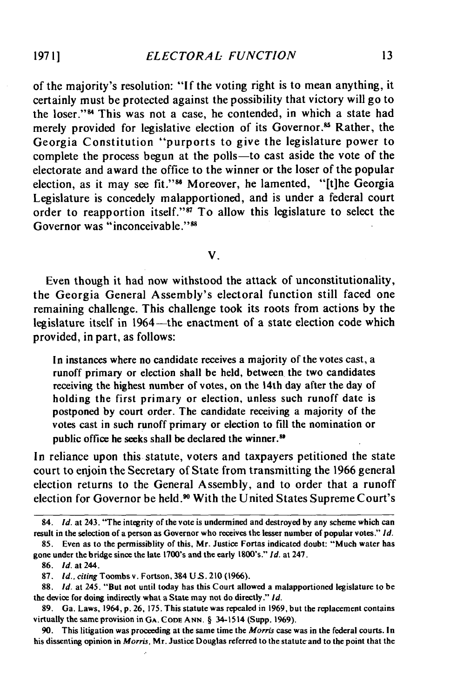of the majority's resolution: **"If** the voting right is to mean anything, it certainly must be protected against the possibility that victory will go to the loser."<sup>84</sup> This was not a case, he contended, in which a state had merely provided for legislative election of its Governor.<sup>85</sup> Rather, the Georgia Constitution "purports to give the legislature power to complete the process begun at the polls-to cast aside the vote of the electorate and award the office to the winner or the loser of the popular election, as it may see fit."<sup>86</sup> Moreover, he lamented, "[t]he Georgia Legislature is concedely malapportioned, and is under a federal court order to reapportion itself."<sup>87</sup> To allow this legislature to select the Governor was "inconceivable."<sup>88</sup>

V.

Even though it had now withstood the attack of unconstitutionality, the Georgia General Assembly's electoral function still faced one remaining challenge. This challenge took its roots from actions by the legislature itself in 1964—the enactment of a state election code which provided, in part, as follows:

In instances where no candidate receives a majority of the votes cast, a runoff primary or election shall be held, between the two candidates receiving the highest number of votes, on the 14th day after the day of holding the first primary or election, unless such runoff date is postponed by court order. The candidate receiving a majority of the votes cast in such runoff primary or election to fill the nomination or public office he seeks shall be declared the winner.<sup>89</sup>

In reliance upon this statute, voters and taxpayers petitioned the state court to enjoin the Secretary of State from transmitting the 1966 general election returns to the General Assembly, and to order that a runoff election for Governor be held.<sup>90</sup> With the United States Supreme Court's

<sup>84.</sup> *Id.* at 243. "The integrity of the vote is undermined and destroyed **by** any scheme which can result in the selection of a person as Governor who receives the lesser number of popular votes." *Id.*

<sup>85.</sup> Even as to the permissiblity of this, Mr. Justice Fortas indicated doubt: "Much water has gone under the bridge since the late 1700's and the early 1800's." *Id.* at 247.

<sup>86.</sup> **Id.** at 244.

<sup>87.</sup> **Id.,** citing Toombs v. Fortson, 384 U S. 210 (1966).

<sup>88.</sup> Id. at 245. "But not until today has this Court allowed a malapportioned legislature to be the device for doing indirectly what a State may not do directly." **Id.**

<sup>89.</sup> Ga. Laws, 1964, p. **26,** 175. This statute was repealed in 1969, but the replacement contains virtually the same provision in **GA. CODE ANN.** § 34-1514 (Supp. **1969).**

<sup>90.</sup> This litigation was proceeding at the same time the Morris case was in the federal courts. In his dissenting opinion in Morris, Mr. Justice Douglas referred to the statute and to the point that the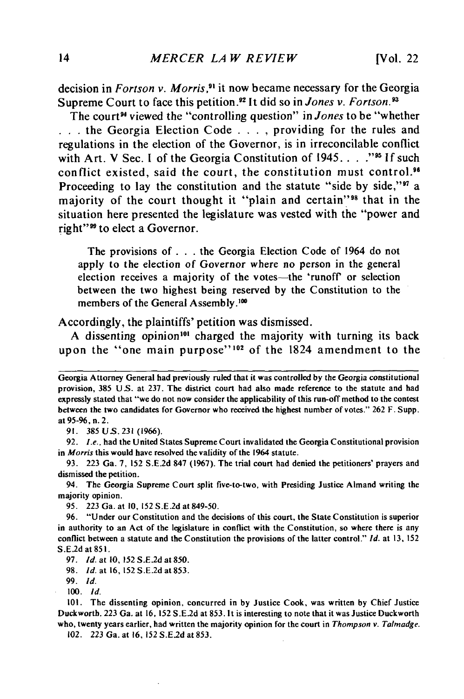decision in *Fortson v. Morris,9'* it now became necessary for the Georgia Supreme Court to face this petition.<sup>92</sup> It did so in *Jones v. Fortson*.<sup>93</sup>

The court<sup>94</sup> viewed the "controlling question" in *Jones* to be "whether **•** *. .* the Georgia Election Code **. . . .** providing for the rules and regulations in the election of the Governor, is in irreconcilable conflict with Art. V Sec. I of the Georgia Constitution of 1945. . . . . "<sup>95</sup> If such conflict existed, said the court, the constitution must control.<sup>96</sup> Proceeding to lay the constitution and the statute "side by side,"<sup>97</sup> a majority of the court thought it "plain and certain"<sup>98</sup> that in the situation here presented the legislature was vested with the "power and right"<sup>99</sup> to elect a Governor.

The provisions of **. . .** the Georgia Election Code of 1964 do not apply to the election of Governor where no person in the general election receives a majority of the votes-the 'runoff' or selection between the two highest being reserved **by** the Constitution to the members of the General Assembly.<sup>100</sup>

Accordingly, the plaintiffs' petition was dismissed.

A dissenting opinion<sup>101</sup> charged the majority with turning its back upon the "one main purpose"<sup>102</sup> of the 1824 amendment to the

91. **385** US. **<sup>231</sup>**(1966).

92. *I.e.,* had the United States Supreme Court invalidated the Georgia Constitutional provision in *Morris* this would have resolved the validity of the 1964 statute.

93. 223 Ga. 7, 152 S.E.2d 847 (1967). The trial court had denied the petitioners' prayers and dismissed the petition.

94. The Georgia Supreme Court split five-to-two, with Presiding Justice Almand writing the majority opinion.

95. 223 Ga. at **10,** 152 S.E.2d at 849-50.

96. "Under our Constitution and the decisions of this court, the State Constitution is superior in authority to an Act of the legislature in conflict with the Constitution, so where there is any conflict between a statute and the Constitution the provisions of the latter control." *Id.* at 13, 152 S.E2d at 85 **1.**

97. *ld. at* **10, 152** S.E.2d at **850.**

98. **Id.** at 16,152 S.E.2d at 853.

99. *Id.*

*100.* **Id.**

101. The dissenting opinion, concurred in **by** Justice Cook, was written by Chief Justice Duckworth. 223 Ga. at 16, 152 S.E.2d at 853. It is interesting to note that it was Justice Duckworth who, twenty years earlier, had written the majority opinion for the court in *Thompson v. Talmadge.*

102. 223 Ga. at 16, 152 S.E.2d at 853.

Georgia Attorney General had previously ruled that it was controlled **by** the Georgia constitutional provision, 385 US. at 237. The district court had also made reference to the statute and had expressly stated that "'we do not now consider the applicability of this run-off method to the contest between the two candidates for Governor who received the highest number of votes." 262 F. Supp. at 95-96, n. 2.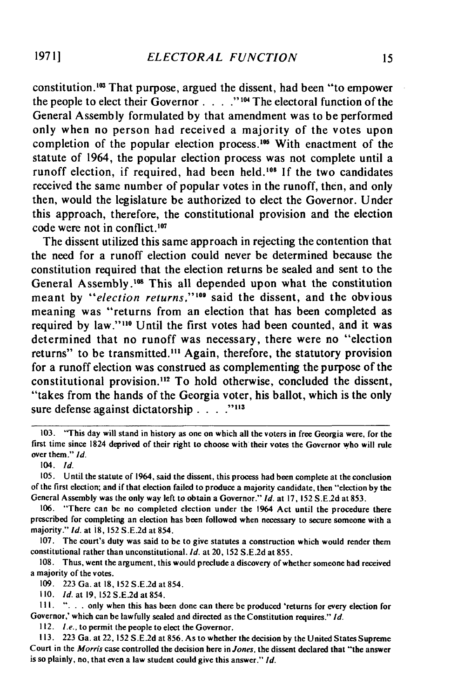constitution.<sup>103</sup> That purpose, argued the dissent, had been "to empower the people to elect their Governor **... ." 101 The** electoral function of the General Assembly formulated **by** that amendment was to be performed only when no person had received a majority of the votes upon completion of the popular election process.<sup>105</sup> With enactment of the statute of 1964, the popular election process was not complete until a runoff election, if required, had been held.<sup>106</sup> If the two candidates received the same number of popular votes in the runoff, then, and only then, would the legislature be authorized to elect the Governor. Under this approach, therefore, the constitutional provision and the election code were not in conflict. <sup>107</sup>

The dissent utilized this same approach in rejecting the contention that the need for a runoff election could never be determined because the constitution required that the election returns be sealed and sent to the General Assembly.<sup>108</sup> This all depended upon what the constitution meant by "election returns,"<sup>109</sup> said the dissent, and the obvious meaning was "returns from an election that has been completed as required by law."<sup>110</sup> Until the first votes had been counted, and it was determined that no runoff was necessary, there were no "election returns" to be transmitted."' Again, therefore, the statutory provision for a runoff election was construed as complementing the purpose of the constitutional provision.<sup>112</sup> To hold otherwise, concluded the dissent, "takes from the hands of the Georgia voter, his ballot, which is the only sure defense against dictatorship **. . . 113**

*104. Id.*

**<sup>103.</sup>** "This day will stand in history as one on which **all the voters in free Georgia were, for the** first time since 1824 deprived of their right to choose **with their votes the Governor who will rule** over them." *Id.*

**<sup>105.</sup>** Until the statute of 1964, said the dissent, this process had been complete at the conclusion of the first election; and if that election failed to produce a majority candidate, then "election **by** the General Assembly was the only way left to obtain a Governor." *Id.* at **17, 152 S.E2d** at **853.**

**<sup>106.</sup>** "There can be no completed election under the 1964 Act until the procedure there prescribed for completing an election has been followed when necessary to secure someone with a majority." *id.* at **i8, 152 S.E.2d** at 854.

**<sup>107.</sup>** The court's duty was said to be to give statutes a construction which would render them constitutional rather than unconstitutional. *Id.* at 20, **152 S.E.2d** at **855.**

**<sup>108.</sup>** Thus, went the argument, this would preclude a discovery of whether someone had received a majority of the votes.

**<sup>109. 223</sup>** Ga. at **18, 152 S.E.2d** at 854.

**<sup>110.</sup>** *Id.* at **19, 152 S.E.2d** at 854.

**Ill. ". . .** only when this has been done can there be produced 'returns for every election for Governor,' which can be lawfully sealed and directed as the Constitution requires." *Id.*

*<sup>112.</sup> Le..* to permit the people to elect the Governor.

**<sup>113. 223</sup>** Ga. at 22, **152 S.E.2d** at **856.** As to whether the decision **by** the United States Supreme Court in the *Morris* case controlled the decision here in *Jones.* the dissent declared that "the answer is so plainly, no, that even a law student could give this answer." *Id.*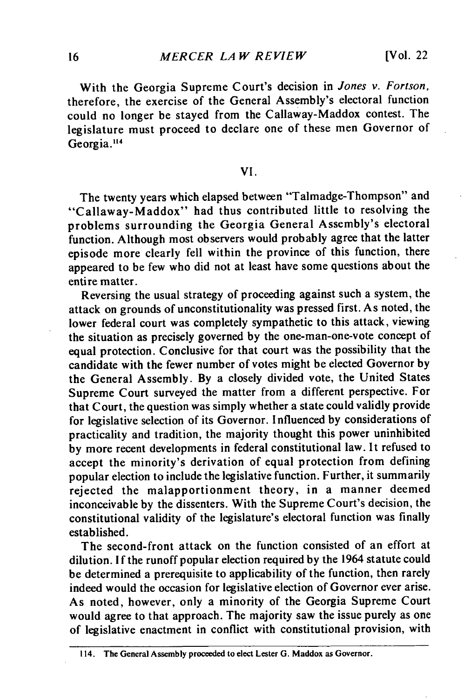With the Georgia Supreme Court's decision in *Jones v. Fortson,* therefore, the exercise of the General Assembly's electoral function could no longer be stayed from the Callaway-Maddox contest. The legislature must proceed to declare one of these men Governor of Georgia.<sup>114</sup>

## VI.

The twenty years which elapsed between "Talmadge-Thompson" and "Callaway-Maddox" had thus contributed little to resolving the problems surrounding the Georgia General Assembly's electoral function. Although most observers would probably agree that the latter episode more clearly fell within the province of this function, there appeared to be few who did not at least have some questions about the entire matter.

Reversing the usual strategy of proceeding against such a system, the attack on grounds of unconstitutionality was pressed first. As noted, the lower federal court was completely sympathetic to this attack, viewing the situation as precisely governed by the one-man-one-vote concept of equal protection. Conclusive for that court was the possibility that the candidate with the fewer number of votes might be elected Governor by the General Assembly. By a closely divided vote, the United States Supreme Court surveyed the matter from a different perspective. For that Court, the question was simply whether a state could validly provide for legislative selection of its Governor. Influenced by considerations of practicality and tradition, the majority thought this power uninhibited by more recent developments in federal constitutional law. It refused to accept the minority's derivation of equal protection from defining popular election to include the legislative function. Further, it summarily rejected the malapportionment theory, in a manner deemed inconceivable by the dissenters. With the Supreme Court's decision, the constitutional validity of the legislature's electoral function was finally established.

The second-front attack on the function consisted of an effort at dilution. If the runoff popular election required by the 1964 statute could be determined a prerequisite to applicability of the function, then rarely indeed would the occasion for legislative election of Governor ever arise. As noted, however, only a minority of the Georgia Supreme Court would agree to that approach. The majority saw the issue purely as one of legislative enactment in conflict with constitutional provision, with

**<sup>114.</sup> The General Assembly proceeded to elect Lester G. Maddox as Governor.**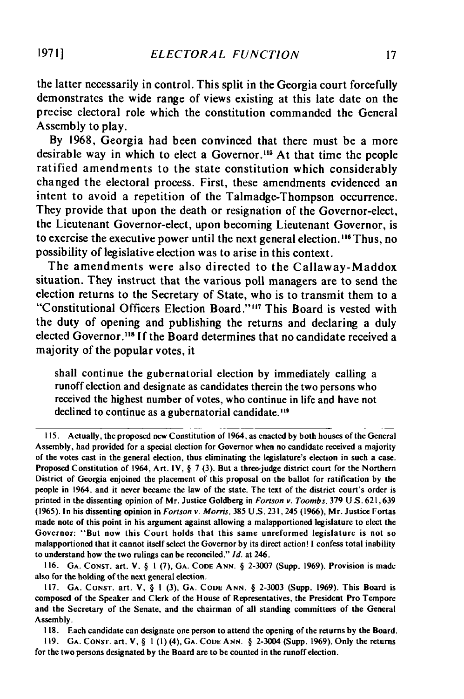the latter necessarily in control. This split in the Georgia court forcefully demonstrates the wide range of views existing at this late date on the precise electoral role which the constitution commanded the General Assembly to play.

**By 1968,** Georgia had been convinced that there must be a more desirable way in which to elect a Governor.<sup>115</sup> At that time the people ratified amendments to the state constitution which considerably changed the electoral process. First, these amendments evidenced an intent to avoid a repetition of the Talmadge-Thompson occurrence. They provide that upon the death or resignation of the Governor-elect, the Lieutenant Governor-elect, upon becoming Lieutenant Governor, is to exercise the executive power until the next general election.<sup>116</sup> Thus, no possibility of legislative election was to arise in this context.

The amendments were also directed to the Callaway-Maddox situation. They instruct that the various poll managers are to send the election returns to the Secretary of State, who is to transmit them to a "Constitutional Officers Election Board.""' 7 This Board is vested with the duty of opening and publishing the returns and declaring a duly elected Governor.<sup>118</sup> If the Board determines that no candidate received a majority of the popular votes, it

shall continue the gubernatorial election **by** immediately calling a runoff election and designate as candidates therein the two persons who received the highest number of votes, who continue in life and have not declined to continue as a gubernatorial candidate.<sup>119</sup>

116. **GA.** CONST. art. V. § 1 (7), **GA. CODE ANN.** § 2-3007 (Supp. 1969). Provision is made also for the holding of the next general election.

118. Each candidate can designate one person to attend the opening of the returns **by** the Board.

119. **GA. CONST.** art. V, § **1 (1)** (4), **GA. CODE ANN.** § 2-3004 (Supp. 1969). Only the returns for the two persons designated **by** the Board are to be counted in the runoff election.

<sup>115.</sup> Actually, the proposed new Constitution of 1964, as enacted **by** both houses of the General Assembly, had provided for a special election for Governor when no candidate received a majority of the votes cast in the general election, thus eliminating the legislature's election in such a case. Proposed Constitution of 1964, Art. IV,  $\S$  7 (3). But a three-judge district court for the Northern District of Georgia enjoined the placement of this proposal on the ballot for ratification **by** the people in 1964, and it never became the law of the state. The text of the district court's order is printed in the dissenting opinion of Mr. Justice Goldberg in *Fortson v. Toombs,* **379** US. 621,639 (1965). In his dissenting opinion in *Fortson v. Morris,* 385 US. **231,** 245 (1966), Mr. Justice Fortas made note of this point in his argument against allowing a malapportioned legislature to elect the Governor: "But now this Court holds that this same unreformed legislature is not so malapportioned that it cannot itself select the Governor **by** its direct action! I confess total inability to understand how the two rulings can be reconciled." *Id.* at 246.

<sup>117.</sup> **GA.** CoNsT. art. V, § I (3), GA. **CODE ANN.** § 2-3003 (Supp. 1969). This Board is composed of the Speaker and Clerk of the House of Representatives, the President Pro Tempore and the Secretary of the Senate, and the chairman of all standing committees of the General Assembly.